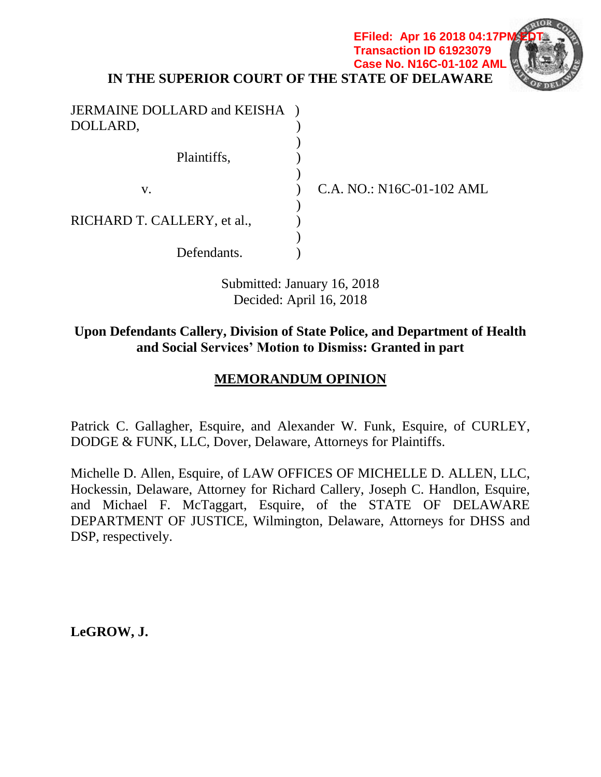**EFiled: Apr 16 2018 04:17PM Transaction ID 61923079 Case No. N16C-01-102 AML**



**IN THE SUPERIOR COURT OF THE STATE OF DELAWARE**

| JERMAINE DOLLARD and KEISHA |  |
|-----------------------------|--|
| DOLLARD,                    |  |
|                             |  |
| Plaintiffs,                 |  |
|                             |  |
| V.                          |  |
|                             |  |
| RICHARD T. CALLERY, et al., |  |
|                             |  |
| Defendants.                 |  |

C.A. NO.: N16C-01-102 AML

Submitted: January 16, 2018 Decided: April 16, 2018

# **Upon Defendants Callery, Division of State Police, and Department of Health and Social Services' Motion to Dismiss: Granted in part**

# **MEMORANDUM OPINION**

Patrick C. Gallagher, Esquire, and Alexander W. Funk, Esquire, of CURLEY, DODGE & FUNK, LLC, Dover, Delaware, Attorneys for Plaintiffs.

Michelle D. Allen, Esquire, of LAW OFFICES OF MICHELLE D. ALLEN, LLC, Hockessin, Delaware, Attorney for Richard Callery, Joseph C. Handlon, Esquire, and Michael F. McTaggart, Esquire, of the STATE OF DELAWARE DEPARTMENT OF JUSTICE, Wilmington, Delaware, Attorneys for DHSS and DSP, respectively.

**LeGROW, J.**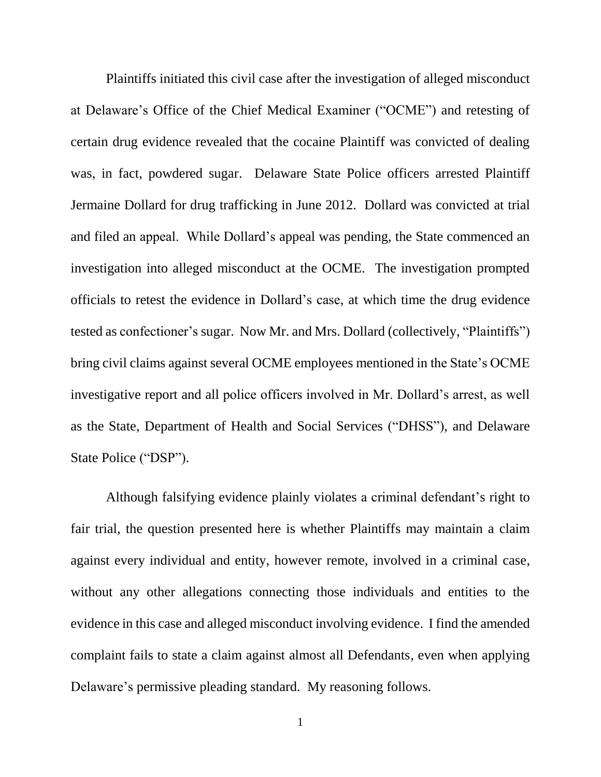Plaintiffs initiated this civil case after the investigation of alleged misconduct at Delaware's Office of the Chief Medical Examiner ("OCME") and retesting of certain drug evidence revealed that the cocaine Plaintiff was convicted of dealing was, in fact, powdered sugar. Delaware State Police officers arrested Plaintiff Jermaine Dollard for drug trafficking in June 2012. Dollard was convicted at trial and filed an appeal. While Dollard's appeal was pending, the State commenced an investigation into alleged misconduct at the OCME. The investigation prompted officials to retest the evidence in Dollard's case, at which time the drug evidence tested as confectioner's sugar. Now Mr. and Mrs. Dollard (collectively, "Plaintiffs") bring civil claims against several OCME employees mentioned in the State's OCME investigative report and all police officers involved in Mr. Dollard's arrest, as well as the State, Department of Health and Social Services ("DHSS"), and Delaware State Police ("DSP").

Although falsifying evidence plainly violates a criminal defendant's right to fair trial, the question presented here is whether Plaintiffs may maintain a claim against every individual and entity, however remote, involved in a criminal case, without any other allegations connecting those individuals and entities to the evidence in this case and alleged misconduct involving evidence. I find the amended complaint fails to state a claim against almost all Defendants, even when applying Delaware's permissive pleading standard. My reasoning follows.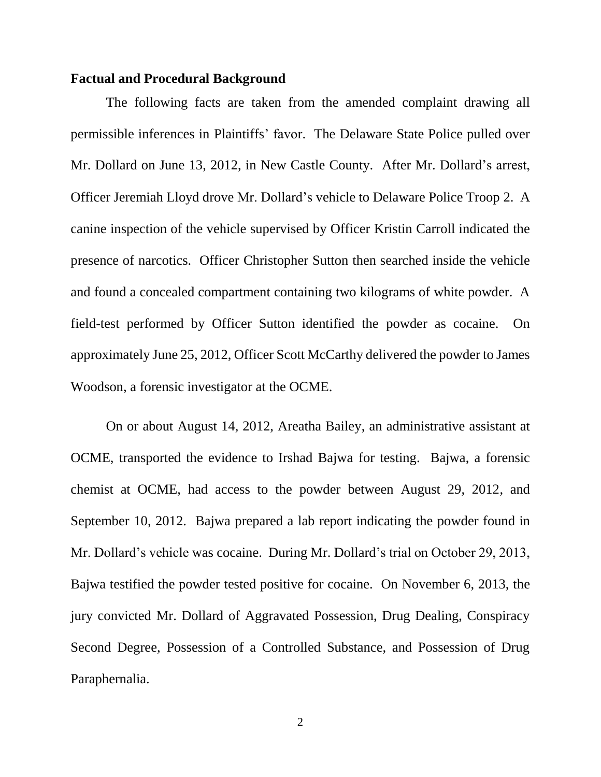#### **Factual and Procedural Background**

The following facts are taken from the amended complaint drawing all permissible inferences in Plaintiffs' favor. The Delaware State Police pulled over Mr. Dollard on June 13, 2012, in New Castle County. After Mr. Dollard's arrest, Officer Jeremiah Lloyd drove Mr. Dollard's vehicle to Delaware Police Troop 2. A canine inspection of the vehicle supervised by Officer Kristin Carroll indicated the presence of narcotics. Officer Christopher Sutton then searched inside the vehicle and found a concealed compartment containing two kilograms of white powder. A field-test performed by Officer Sutton identified the powder as cocaine. On approximately June 25, 2012, Officer Scott McCarthy delivered the powder to James Woodson, a forensic investigator at the OCME.

On or about August 14, 2012, Areatha Bailey, an administrative assistant at OCME, transported the evidence to Irshad Bajwa for testing. Bajwa, a forensic chemist at OCME, had access to the powder between August 29, 2012, and September 10, 2012. Bajwa prepared a lab report indicating the powder found in Mr. Dollard's vehicle was cocaine. During Mr. Dollard's trial on October 29, 2013, Bajwa testified the powder tested positive for cocaine. On November 6, 2013, the jury convicted Mr. Dollard of Aggravated Possession, Drug Dealing, Conspiracy Second Degree, Possession of a Controlled Substance, and Possession of Drug Paraphernalia.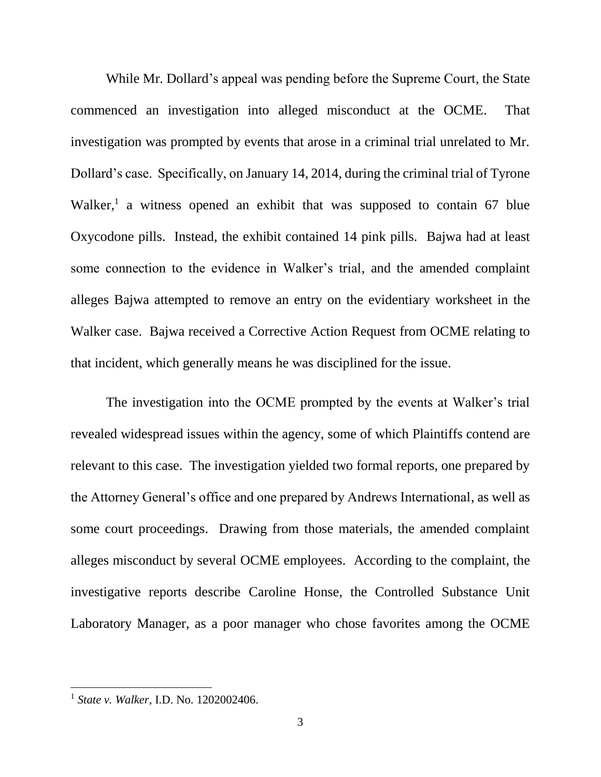While Mr. Dollard's appeal was pending before the Supreme Court, the State commenced an investigation into alleged misconduct at the OCME. That investigation was prompted by events that arose in a criminal trial unrelated to Mr. Dollard's case. Specifically, on January 14, 2014, during the criminal trial of Tyrone Walker,<sup>1</sup> a witness opened an exhibit that was supposed to contain 67 blue Oxycodone pills. Instead, the exhibit contained 14 pink pills. Bajwa had at least some connection to the evidence in Walker's trial, and the amended complaint alleges Bajwa attempted to remove an entry on the evidentiary worksheet in the Walker case. Bajwa received a Corrective Action Request from OCME relating to that incident, which generally means he was disciplined for the issue.

The investigation into the OCME prompted by the events at Walker's trial revealed widespread issues within the agency, some of which Plaintiffs contend are relevant to this case. The investigation yielded two formal reports, one prepared by the Attorney General's office and one prepared by Andrews International, as well as some court proceedings. Drawing from those materials, the amended complaint alleges misconduct by several OCME employees. According to the complaint, the investigative reports describe Caroline Honse, the Controlled Substance Unit Laboratory Manager, as a poor manager who chose favorites among the OCME

<sup>1</sup> *State v. Walker*, I.D. No. 1202002406.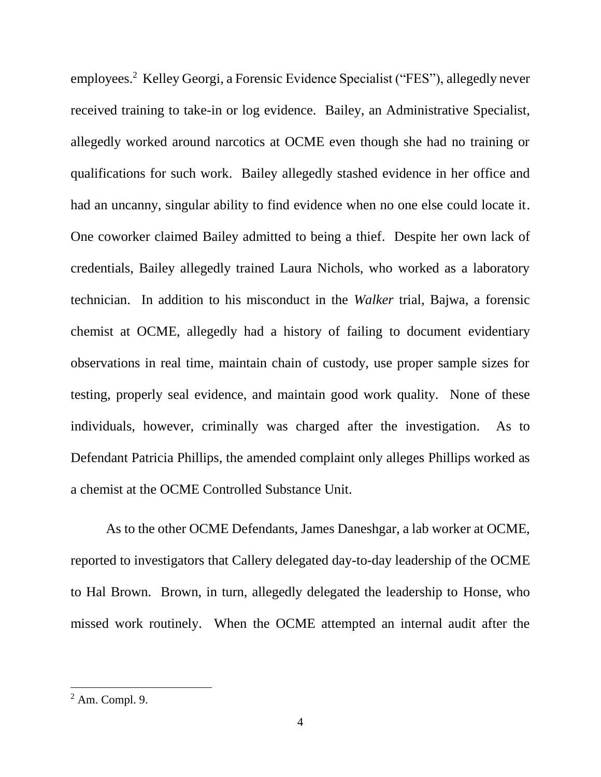employees.<sup>2</sup> Kelley Georgi, a Forensic Evidence Specialist ("FES"), allegedly never received training to take-in or log evidence. Bailey, an Administrative Specialist, allegedly worked around narcotics at OCME even though she had no training or qualifications for such work. Bailey allegedly stashed evidence in her office and had an uncanny, singular ability to find evidence when no one else could locate it. One coworker claimed Bailey admitted to being a thief. Despite her own lack of credentials, Bailey allegedly trained Laura Nichols, who worked as a laboratory technician. In addition to his misconduct in the *Walker* trial, Bajwa, a forensic chemist at OCME, allegedly had a history of failing to document evidentiary observations in real time, maintain chain of custody, use proper sample sizes for testing, properly seal evidence, and maintain good work quality. None of these individuals, however, criminally was charged after the investigation. As to Defendant Patricia Phillips, the amended complaint only alleges Phillips worked as a chemist at the OCME Controlled Substance Unit.

As to the other OCME Defendants, James Daneshgar, a lab worker at OCME, reported to investigators that Callery delegated day-to-day leadership of the OCME to Hal Brown. Brown, in turn, allegedly delegated the leadership to Honse, who missed work routinely. When the OCME attempted an internal audit after the

 $<sup>2</sup>$  Am. Compl. 9.</sup>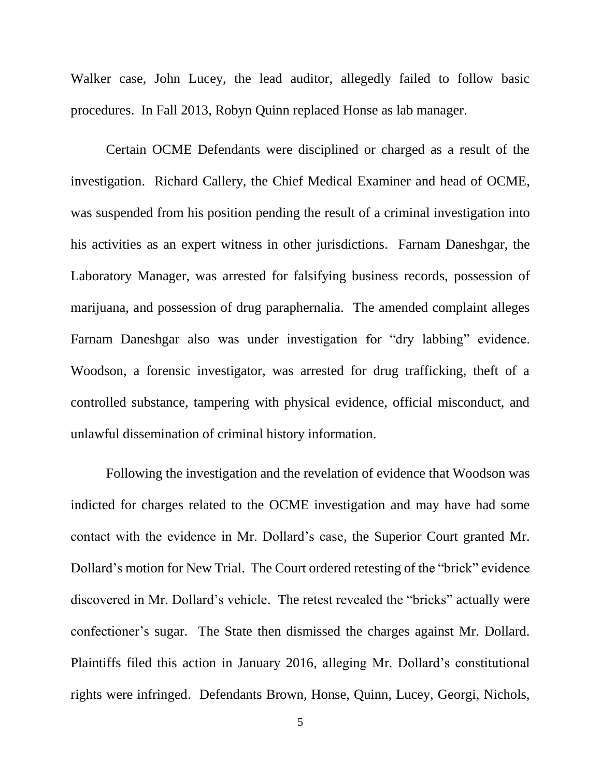Walker case, John Lucey, the lead auditor, allegedly failed to follow basic procedures. In Fall 2013, Robyn Quinn replaced Honse as lab manager.

Certain OCME Defendants were disciplined or charged as a result of the investigation. Richard Callery, the Chief Medical Examiner and head of OCME, was suspended from his position pending the result of a criminal investigation into his activities as an expert witness in other jurisdictions. Farnam Daneshgar, the Laboratory Manager, was arrested for falsifying business records, possession of marijuana, and possession of drug paraphernalia. The amended complaint alleges Farnam Daneshgar also was under investigation for "dry labbing" evidence. Woodson, a forensic investigator, was arrested for drug trafficking, theft of a controlled substance, tampering with physical evidence, official misconduct, and unlawful dissemination of criminal history information.

Following the investigation and the revelation of evidence that Woodson was indicted for charges related to the OCME investigation and may have had some contact with the evidence in Mr. Dollard's case, the Superior Court granted Mr. Dollard's motion for New Trial. The Court ordered retesting of the "brick" evidence discovered in Mr. Dollard's vehicle. The retest revealed the "bricks" actually were confectioner's sugar. The State then dismissed the charges against Mr. Dollard. Plaintiffs filed this action in January 2016, alleging Mr. Dollard's constitutional rights were infringed. Defendants Brown, Honse, Quinn, Lucey, Georgi, Nichols,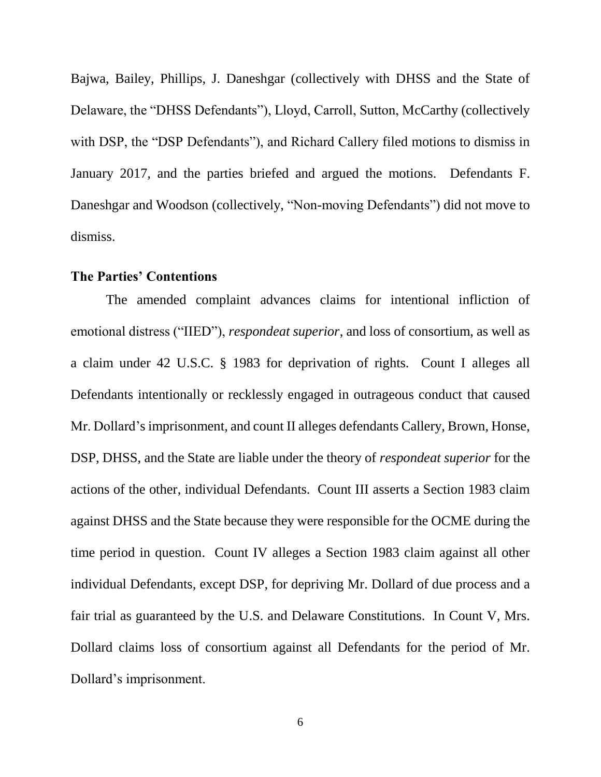Bajwa, Bailey, Phillips, J. Daneshgar (collectively with DHSS and the State of Delaware, the "DHSS Defendants"), Lloyd, Carroll, Sutton, McCarthy (collectively with DSP, the "DSP Defendants"), and Richard Callery filed motions to dismiss in January 2017, and the parties briefed and argued the motions. Defendants F. Daneshgar and Woodson (collectively, "Non-moving Defendants") did not move to dismiss.

#### **The Parties' Contentions**

The amended complaint advances claims for intentional infliction of emotional distress ("IIED"), *respondeat superior*, and loss of consortium, as well as a claim under 42 U.S.C. § 1983 for deprivation of rights. Count I alleges all Defendants intentionally or recklessly engaged in outrageous conduct that caused Mr. Dollard's imprisonment, and count II alleges defendants Callery, Brown, Honse, DSP, DHSS, and the State are liable under the theory of *respondeat superior* for the actions of the other, individual Defendants. Count III asserts a Section 1983 claim against DHSS and the State because they were responsible for the OCME during the time period in question. Count IV alleges a Section 1983 claim against all other individual Defendants, except DSP, for depriving Mr. Dollard of due process and a fair trial as guaranteed by the U.S. and Delaware Constitutions. In Count V, Mrs. Dollard claims loss of consortium against all Defendants for the period of Mr. Dollard's imprisonment.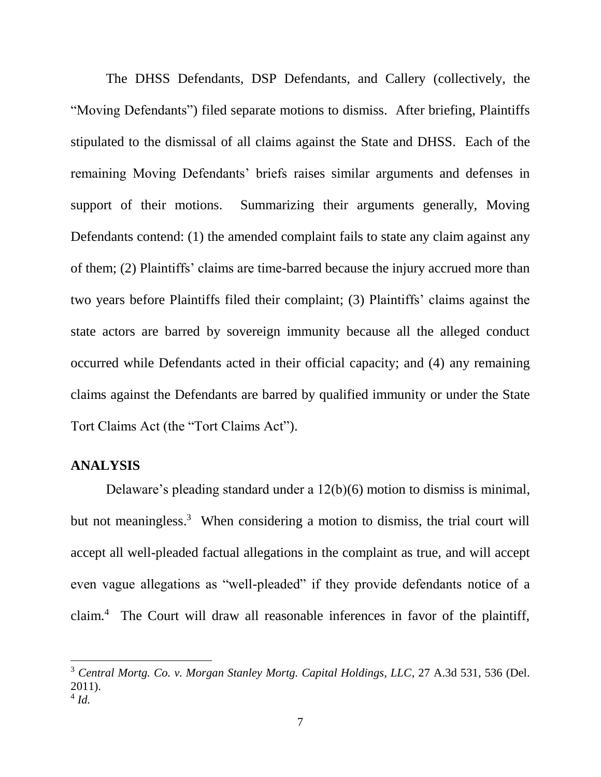The DHSS Defendants, DSP Defendants, and Callery (collectively, the "Moving Defendants") filed separate motions to dismiss. After briefing, Plaintiffs stipulated to the dismissal of all claims against the State and DHSS. Each of the remaining Moving Defendants' briefs raises similar arguments and defenses in support of their motions. Summarizing their arguments generally, Moving Defendants contend: (1) the amended complaint fails to state any claim against any of them; (2) Plaintiffs' claims are time-barred because the injury accrued more than two years before Plaintiffs filed their complaint; (3) Plaintiffs' claims against the state actors are barred by sovereign immunity because all the alleged conduct occurred while Defendants acted in their official capacity; and (4) any remaining claims against the Defendants are barred by qualified immunity or under the State Tort Claims Act (the "Tort Claims Act").

#### **ANALYSIS**

 $\overline{a}$ 

Delaware's pleading standard under a 12(b)(6) motion to dismiss is minimal, but not meaningless. 3 When considering a motion to dismiss, the trial court will accept all well-pleaded factual allegations in the complaint as true, and will accept even vague allegations as "well-pleaded" if they provide defendants notice of a claim.<sup>4</sup> The Court will draw all reasonable inferences in favor of the plaintiff,

<sup>3</sup> *Central Mortg. Co. v. Morgan Stanley Mortg. Capital Holdings, LLC*, 27 A.3d 531, 536 (Del. 2011). 4 *Id.*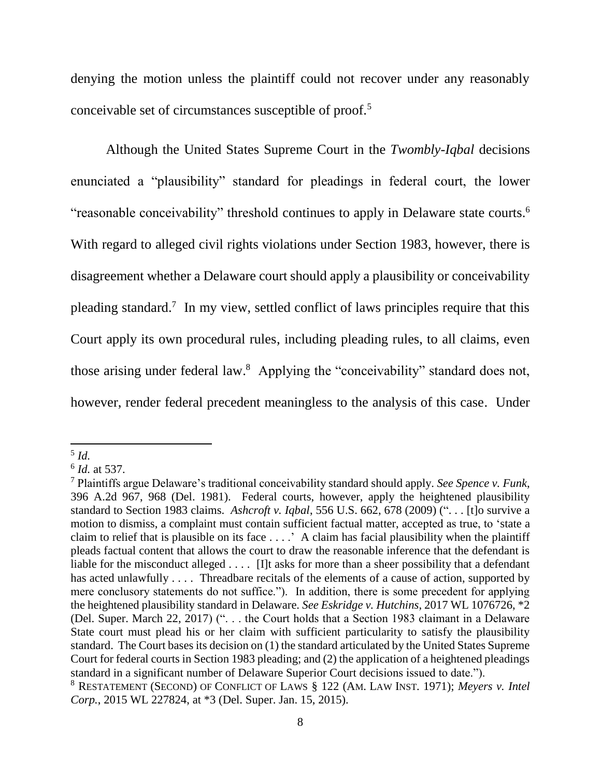denying the motion unless the plaintiff could not recover under any reasonably conceivable set of circumstances susceptible of proof.<sup>5</sup>

Although the United States Supreme Court in the *Twombly-Iqbal* decisions enunciated a "plausibility" standard for pleadings in federal court, the lower "reasonable conceivability" threshold continues to apply in Delaware state courts.<sup>6</sup> With regard to alleged civil rights violations under Section 1983, however, there is disagreement whether a Delaware court should apply a plausibility or conceivability pleading standard.<sup>7</sup> In my view, settled conflict of laws principles require that this Court apply its own procedural rules, including pleading rules, to all claims, even those arising under federal law. 8 Applying the "conceivability" standard does not, however, render federal precedent meaningless to the analysis of this case. Under

l

<sup>5</sup> *Id.*

<sup>6</sup> *Id.* at 537.

<sup>7</sup> Plaintiffs argue Delaware's traditional conceivability standard should apply. *See Spence v. Funk*, 396 A.2d 967, 968 (Del. 1981). Federal courts, however, apply the heightened plausibility standard to Section 1983 claims. *Ashcroft v. Iqbal*, 556 U.S. 662, 678 (2009) (". . . [t]o survive a motion to dismiss, a complaint must contain sufficient factual matter, accepted as true, to 'state a claim to relief that is plausible on its face . . . .' A claim has facial plausibility when the plaintiff pleads factual content that allows the court to draw the reasonable inference that the defendant is liable for the misconduct alleged . . . . [I]t asks for more than a sheer possibility that a defendant has acted unlawfully . . . . Threadbare recitals of the elements of a cause of action, supported by mere conclusory statements do not suffice."). In addition, there is some precedent for applying the heightened plausibility standard in Delaware. *See Eskridge v. Hutchins*, 2017 WL 1076726, \*2 (Del. Super. March 22, 2017) (". . . the Court holds that a Section 1983 claimant in a Delaware State court must plead his or her claim with sufficient particularity to satisfy the plausibility standard. The Court bases its decision on (1) the standard articulated by the United States Supreme Court for federal courts in Section 1983 pleading; and (2) the application of a heightened pleadings standard in a significant number of Delaware Superior Court decisions issued to date.").

<sup>8</sup> RESTATEMENT (SECOND) OF CONFLICT OF LAWS § 122 (AM. LAW INST. 1971); *Meyers v. Intel Corp.*, 2015 WL 227824, at \*3 (Del. Super. Jan. 15, 2015).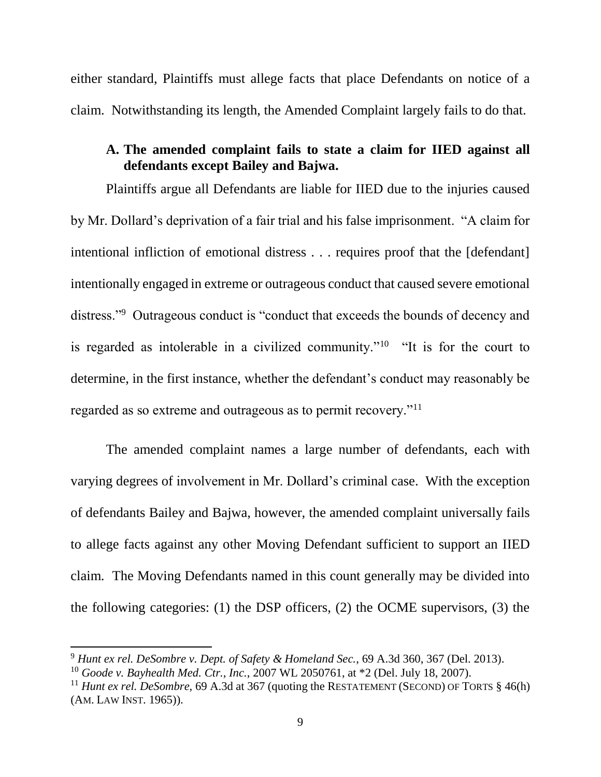either standard, Plaintiffs must allege facts that place Defendants on notice of a claim. Notwithstanding its length, the Amended Complaint largely fails to do that.

### **A. The amended complaint fails to state a claim for IIED against all defendants except Bailey and Bajwa.**

Plaintiffs argue all Defendants are liable for IIED due to the injuries caused by Mr. Dollard's deprivation of a fair trial and his false imprisonment. "A claim for intentional infliction of emotional distress . . . requires proof that the [defendant] intentionally engaged in extreme or outrageous conduct that caused severe emotional distress."<sup>9</sup> Outrageous conduct is "conduct that exceeds the bounds of decency and is regarded as intolerable in a civilized community."<sup>10</sup> "It is for the court to determine, in the first instance, whether the defendant's conduct may reasonably be regarded as so extreme and outrageous as to permit recovery."<sup>11</sup>

The amended complaint names a large number of defendants, each with varying degrees of involvement in Mr. Dollard's criminal case. With the exception of defendants Bailey and Bajwa, however, the amended complaint universally fails to allege facts against any other Moving Defendant sufficient to support an IIED claim. The Moving Defendants named in this count generally may be divided into the following categories: (1) the DSP officers, (2) the OCME supervisors, (3) the

l

<sup>9</sup> *Hunt ex rel. DeSombre v. Dept. of Safety & Homeland Sec.*, 69 A.3d 360, 367 (Del. 2013).

<sup>10</sup> *Goode v. Bayhealth Med. Ctr., Inc.*, 2007 WL 2050761, at \*2 (Del. July 18, 2007).

<sup>&</sup>lt;sup>11</sup> *Hunt ex rel. DeSombre*, 69 A.3d at 367 (quoting the RESTATEMENT (SECOND) OF TORTS  $§$  46(h) (AM. LAW INST. 1965)).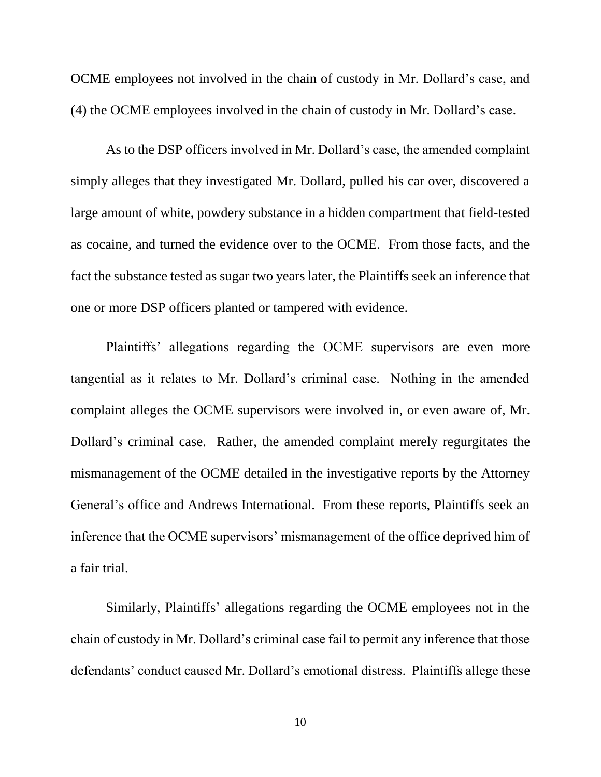OCME employees not involved in the chain of custody in Mr. Dollard's case, and (4) the OCME employees involved in the chain of custody in Mr. Dollard's case.

As to the DSP officers involved in Mr. Dollard's case, the amended complaint simply alleges that they investigated Mr. Dollard, pulled his car over, discovered a large amount of white, powdery substance in a hidden compartment that field-tested as cocaine, and turned the evidence over to the OCME. From those facts, and the fact the substance tested as sugar two years later, the Plaintiffs seek an inference that one or more DSP officers planted or tampered with evidence.

Plaintiffs' allegations regarding the OCME supervisors are even more tangential as it relates to Mr. Dollard's criminal case. Nothing in the amended complaint alleges the OCME supervisors were involved in, or even aware of, Mr. Dollard's criminal case. Rather, the amended complaint merely regurgitates the mismanagement of the OCME detailed in the investigative reports by the Attorney General's office and Andrews International. From these reports, Plaintiffs seek an inference that the OCME supervisors' mismanagement of the office deprived him of a fair trial.

Similarly, Plaintiffs' allegations regarding the OCME employees not in the chain of custody in Mr. Dollard's criminal case fail to permit any inference that those defendants' conduct caused Mr. Dollard's emotional distress. Plaintiffs allege these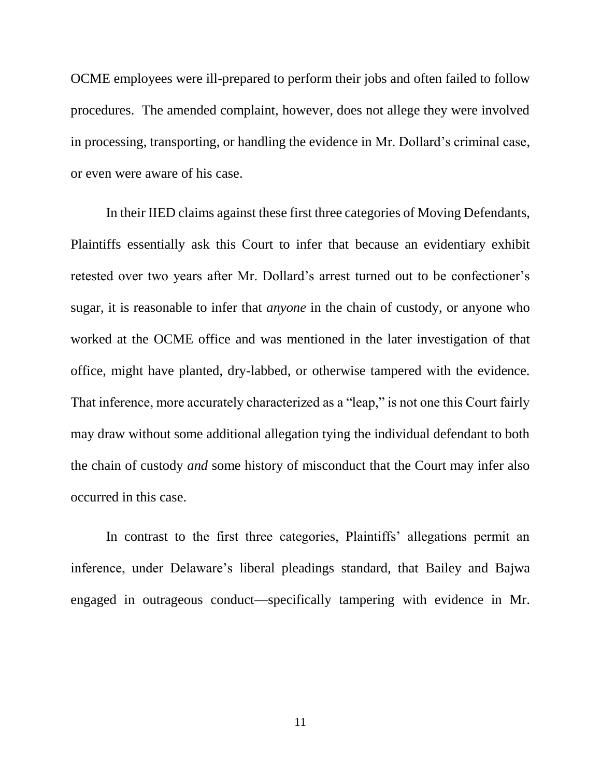OCME employees were ill-prepared to perform their jobs and often failed to follow procedures. The amended complaint, however, does not allege they were involved in processing, transporting, or handling the evidence in Mr. Dollard's criminal case, or even were aware of his case.

In their IIED claims against these first three categories of Moving Defendants, Plaintiffs essentially ask this Court to infer that because an evidentiary exhibit retested over two years after Mr. Dollard's arrest turned out to be confectioner's sugar, it is reasonable to infer that *anyone* in the chain of custody, or anyone who worked at the OCME office and was mentioned in the later investigation of that office, might have planted, dry-labbed, or otherwise tampered with the evidence. That inference, more accurately characterized as a "leap," is not one this Court fairly may draw without some additional allegation tying the individual defendant to both the chain of custody *and* some history of misconduct that the Court may infer also occurred in this case.

In contrast to the first three categories, Plaintiffs' allegations permit an inference, under Delaware's liberal pleadings standard, that Bailey and Bajwa engaged in outrageous conduct—specifically tampering with evidence in Mr.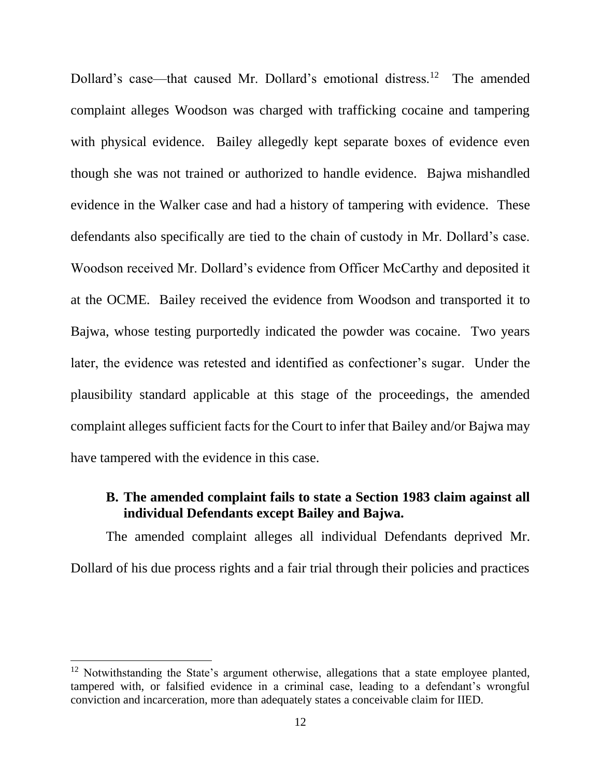Dollard's case—that caused Mr. Dollard's emotional distress.<sup>12</sup> The amended complaint alleges Woodson was charged with trafficking cocaine and tampering with physical evidence. Bailey allegedly kept separate boxes of evidence even though she was not trained or authorized to handle evidence. Bajwa mishandled evidence in the Walker case and had a history of tampering with evidence. These defendants also specifically are tied to the chain of custody in Mr. Dollard's case. Woodson received Mr. Dollard's evidence from Officer McCarthy and deposited it at the OCME. Bailey received the evidence from Woodson and transported it to Bajwa, whose testing purportedly indicated the powder was cocaine. Two years later, the evidence was retested and identified as confectioner's sugar. Under the plausibility standard applicable at this stage of the proceedings, the amended complaint alleges sufficient facts for the Court to infer that Bailey and/or Bajwa may have tampered with the evidence in this case.

#### **B. The amended complaint fails to state a Section 1983 claim against all individual Defendants except Bailey and Bajwa.**

The amended complaint alleges all individual Defendants deprived Mr. Dollard of his due process rights and a fair trial through their policies and practices

 $\overline{a}$ 

 $12$  Notwithstanding the State's argument otherwise, allegations that a state employee planted, tampered with, or falsified evidence in a criminal case, leading to a defendant's wrongful conviction and incarceration, more than adequately states a conceivable claim for IIED.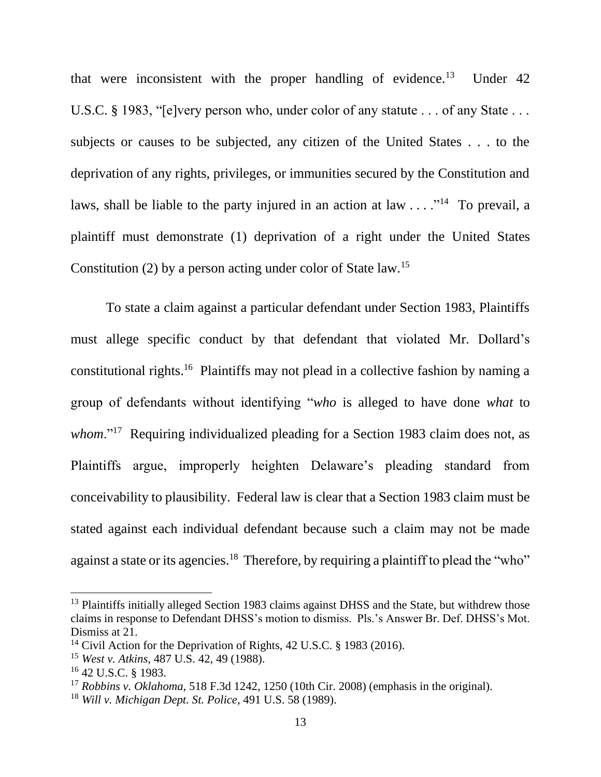that were inconsistent with the proper handling of evidence.<sup>13</sup> Under  $42$ U.S.C. § 1983, "[e]very person who, under color of any statute . . . of any State . . . subjects or causes to be subjected, any citizen of the United States . . . to the deprivation of any rights, privileges, or immunities secured by the Constitution and laws, shall be liable to the party injured in an action at  $law \dots$ <sup>14</sup> To prevail, a plaintiff must demonstrate (1) deprivation of a right under the United States Constitution (2) by a person acting under color of State law.<sup>15</sup>

To state a claim against a particular defendant under Section 1983, Plaintiffs must allege specific conduct by that defendant that violated Mr. Dollard's constitutional rights.<sup>16</sup> Plaintiffs may not plead in a collective fashion by naming a group of defendants without identifying "*who* is alleged to have done *what* to whom."<sup>17</sup> Requiring individualized pleading for a Section 1983 claim does not, as Plaintiffs argue, improperly heighten Delaware's pleading standard from conceivability to plausibility. Federal law is clear that a Section 1983 claim must be stated against each individual defendant because such a claim may not be made against a state or its agencies.<sup>18</sup> Therefore, by requiring a plaintiff to plead the "who"

 $\overline{a}$ 

<sup>&</sup>lt;sup>13</sup> Plaintiffs initially alleged Section 1983 claims against DHSS and the State, but withdrew those claims in response to Defendant DHSS's motion to dismiss. Pls.'s Answer Br. Def. DHSS's Mot. Dismiss at 21.

<sup>&</sup>lt;sup>14</sup> Civil Action for the Deprivation of Rights, 42 U.S.C. § 1983 (2016).

<sup>15</sup> *West v. Atkins*, 487 U.S. 42, 49 (1988).

<sup>16</sup> 42 U.S.C. § 1983.

<sup>17</sup> *Robbins v. Oklahoma*, 518 F.3d 1242, 1250 (10th Cir. 2008) (emphasis in the original).

<sup>18</sup> *Will v. Michigan Dept. St. Police*, 491 U.S. 58 (1989).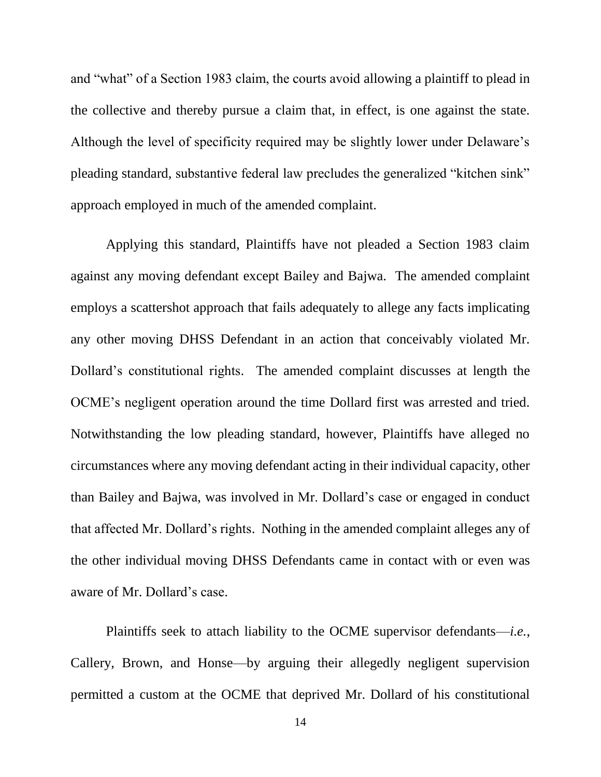and "what" of a Section 1983 claim, the courts avoid allowing a plaintiff to plead in the collective and thereby pursue a claim that, in effect, is one against the state. Although the level of specificity required may be slightly lower under Delaware's pleading standard, substantive federal law precludes the generalized "kitchen sink" approach employed in much of the amended complaint.

Applying this standard, Plaintiffs have not pleaded a Section 1983 claim against any moving defendant except Bailey and Bajwa. The amended complaint employs a scattershot approach that fails adequately to allege any facts implicating any other moving DHSS Defendant in an action that conceivably violated Mr. Dollard's constitutional rights. The amended complaint discusses at length the OCME's negligent operation around the time Dollard first was arrested and tried. Notwithstanding the low pleading standard, however, Plaintiffs have alleged no circumstances where any moving defendant acting in their individual capacity, other than Bailey and Bajwa, was involved in Mr. Dollard's case or engaged in conduct that affected Mr. Dollard's rights. Nothing in the amended complaint alleges any of the other individual moving DHSS Defendants came in contact with or even was aware of Mr. Dollard's case.

Plaintiffs seek to attach liability to the OCME supervisor defendants—*i.e.*, Callery, Brown, and Honse—by arguing their allegedly negligent supervision permitted a custom at the OCME that deprived Mr. Dollard of his constitutional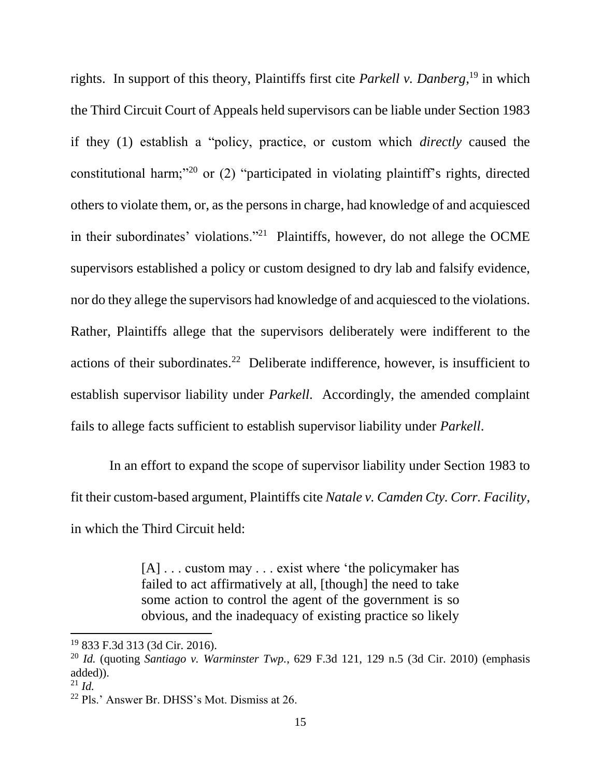rights. In support of this theory, Plaintiffs first cite *Parkell v. Danberg*, <sup>19</sup> in which the Third Circuit Court of Appeals held supervisors can be liable under Section 1983 if they (1) establish a "policy, practice, or custom which *directly* caused the constitutional harm;"<sup>20</sup> or (2) "participated in violating plaintiff's rights, directed others to violate them, or, as the persons in charge, had knowledge of and acquiesced in their subordinates' violations."<sup>21</sup> Plaintiffs, however, do not allege the OCME supervisors established a policy or custom designed to dry lab and falsify evidence, nor do they allege the supervisors had knowledge of and acquiesced to the violations. Rather, Plaintiffs allege that the supervisors deliberately were indifferent to the actions of their subordinates.<sup>22</sup> Deliberate indifference, however, is insufficient to establish supervisor liability under *Parkell*. Accordingly, the amended complaint fails to allege facts sufficient to establish supervisor liability under *Parkell*.

In an effort to expand the scope of supervisor liability under Section 1983 to fit their custom-based argument, Plaintiffs cite *Natale v. Camden Cty. Corr. Facility*, in which the Third Circuit held:

> [A] . . . custom may . . . exist where 'the policymaker has failed to act affirmatively at all. [though] the need to take some action to control the agent of the government is so obvious, and the inadequacy of existing practice so likely

<sup>19</sup> 833 F.3d 313 (3d Cir. 2016).

<sup>20</sup> *Id.* (quoting *Santiago v. Warminster Twp.*, 629 F.3d 121, 129 n.5 (3d Cir. 2010) (emphasis added)).

 $^{21}$  *Id.* 

<sup>22</sup> Pls.' Answer Br. DHSS's Mot. Dismiss at 26.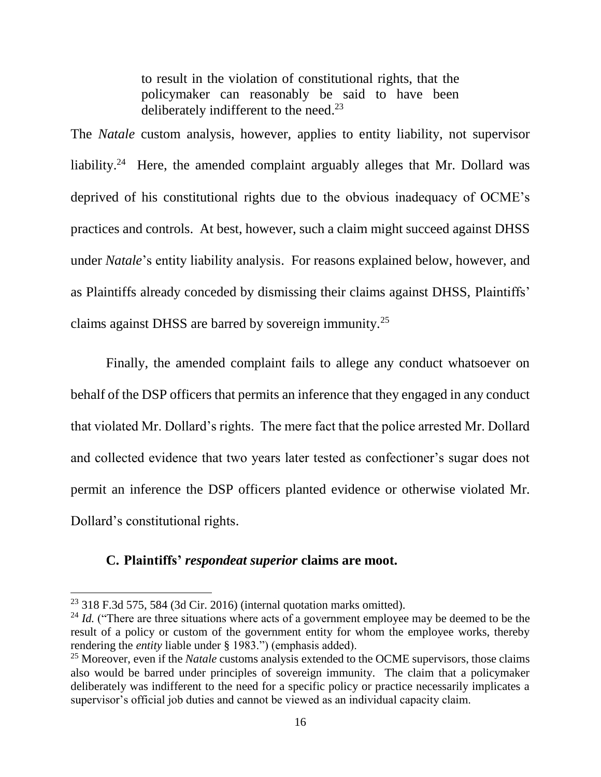to result in the violation of constitutional rights, that the policymaker can reasonably be said to have been deliberately indifferent to the need.<sup>23</sup>

The *Natale* custom analysis, however, applies to entity liability, not supervisor liability.<sup>24</sup> Here, the amended complaint arguably alleges that Mr. Dollard was deprived of his constitutional rights due to the obvious inadequacy of OCME's practices and controls. At best, however, such a claim might succeed against DHSS under *Natale*'s entity liability analysis. For reasons explained below, however, and as Plaintiffs already conceded by dismissing their claims against DHSS, Plaintiffs' claims against DHSS are barred by sovereign immunity.<sup>25</sup>

Finally, the amended complaint fails to allege any conduct whatsoever on behalf of the DSP officers that permits an inference that they engaged in any conduct that violated Mr. Dollard's rights. The mere fact that the police arrested Mr. Dollard and collected evidence that two years later tested as confectioner's sugar does not permit an inference the DSP officers planted evidence or otherwise violated Mr. Dollard's constitutional rights.

### **C. Plaintiffs'** *respondeat superior* **claims are moot.**

 $\overline{a}$ 

 $23$  318 F.3d 575, 584 (3d Cir. 2016) (internal quotation marks omitted).

 $^{24}$  *Id.* ("There are three situations where acts of a government employee may be deemed to be the result of a policy or custom of the government entity for whom the employee works, thereby rendering the *entity* liable under § 1983.") (emphasis added).

<sup>&</sup>lt;sup>25</sup> Moreover, even if the *Natale* customs analysis extended to the OCME supervisors, those claims also would be barred under principles of sovereign immunity. The claim that a policymaker deliberately was indifferent to the need for a specific policy or practice necessarily implicates a supervisor's official job duties and cannot be viewed as an individual capacity claim.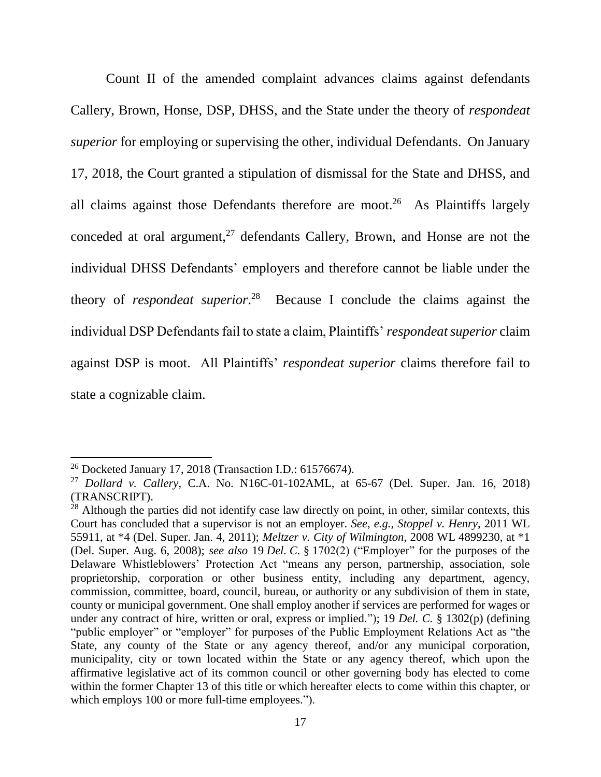Count II of the amended complaint advances claims against defendants Callery, Brown, Honse, DSP, DHSS, and the State under the theory of *respondeat superior* for employing or supervising the other, individual Defendants. On January 17, 2018, the Court granted a stipulation of dismissal for the State and DHSS, and all claims against those Defendants therefore are moot.<sup>26</sup> As Plaintiffs largely conceded at oral argument,<sup>27</sup> defendants Callery, Brown, and Honse are not the individual DHSS Defendants' employers and therefore cannot be liable under the theory of *respondeat superior*. 28 Because I conclude the claims against the individual DSP Defendants fail to state a claim, Plaintiffs' *respondeat superior* claim against DSP is moot. All Plaintiffs' *respondeat superior* claims therefore fail to state a cognizable claim.

 $\overline{a}$ 

<sup>26</sup> Docketed January 17, 2018 (Transaction I.D.: 61576674).

<sup>27</sup> *Dollard v. Callery*, C.A. No. N16C-01-102AML, at 65-67 (Del. Super. Jan. 16, 2018) (TRANSCRIPT).

 $^{28}$  Although the parties did not identify case law directly on point, in other, similar contexts, this Court has concluded that a supervisor is not an employer. *See, e.g.*, *Stoppel v. Henry*, 2011 WL 55911, at \*4 (Del. Super. Jan. 4, 2011); *Meltzer v. City of Wilmington*, 2008 WL 4899230, at \*1 (Del. Super. Aug. 6, 2008); *see also* 19 *Del. C.* § 1702(2) ("Employer" for the purposes of the Delaware Whistleblowers' Protection Act "means any person, partnership, association, sole proprietorship, corporation or other business entity, including any department, agency, commission, committee, board, council, bureau, or authority or any subdivision of them in state, county or municipal government. One shall employ another if services are performed for wages or under any contract of hire, written or oral, express or implied."); 19 *Del. C.* § 1302(p) (defining "public employer" or "employer" for purposes of the Public Employment Relations Act as "the State, any county of the State or any agency thereof, and/or any municipal corporation, municipality, city or town located within the State or any agency thereof, which upon the affirmative legislative act of its common council or other governing body has elected to come within the former Chapter 13 of this title or which hereafter elects to come within this chapter, or which employs 100 or more full-time employees.").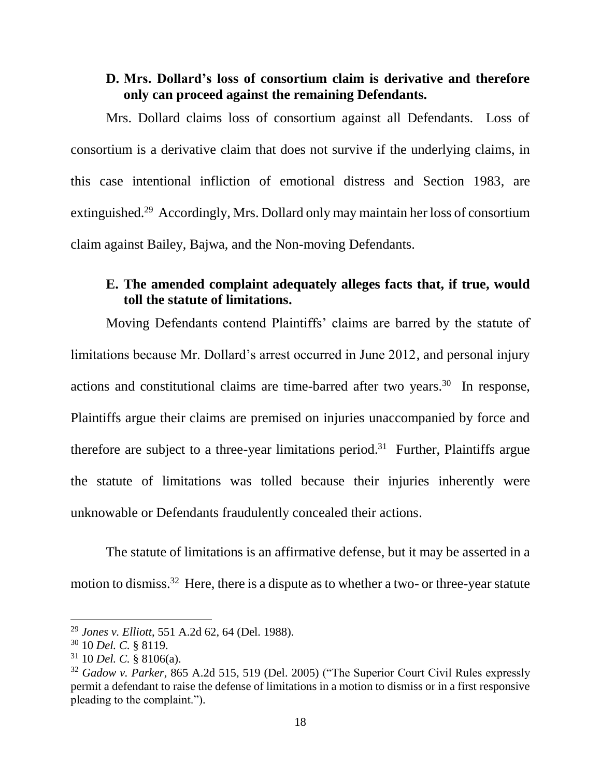#### **D. Mrs. Dollard's loss of consortium claim is derivative and therefore only can proceed against the remaining Defendants.**

Mrs. Dollard claims loss of consortium against all Defendants. Loss of consortium is a derivative claim that does not survive if the underlying claims, in this case intentional infliction of emotional distress and Section 1983, are extinguished.<sup>29</sup> Accordingly, Mrs. Dollard only may maintain her loss of consortium claim against Bailey, Bajwa, and the Non-moving Defendants.

### **E. The amended complaint adequately alleges facts that, if true, would toll the statute of limitations.**

Moving Defendants contend Plaintiffs' claims are barred by the statute of limitations because Mr. Dollard's arrest occurred in June 2012, and personal injury actions and constitutional claims are time-barred after two years.<sup>30</sup> In response, Plaintiffs argue their claims are premised on injuries unaccompanied by force and therefore are subject to a three-year limitations period.<sup>31</sup> Further, Plaintiffs argue the statute of limitations was tolled because their injuries inherently were unknowable or Defendants fraudulently concealed their actions.

The statute of limitations is an affirmative defense, but it may be asserted in a motion to dismiss.<sup>32</sup> Here, there is a dispute as to whether a two- or three-year statute

<sup>29</sup> *Jones v. Elliott*, 551 A.2d 62, 64 (Del. 1988).

<sup>30</sup> 10 *Del. C.* § 8119.

<sup>31</sup> 10 *Del. C.* § 8106(a).

<sup>32</sup> *Gadow v. Parker*, 865 A.2d 515, 519 (Del. 2005) ("The Superior Court Civil Rules expressly permit a defendant to raise the defense of limitations in a motion to dismiss or in a first responsive pleading to the complaint.").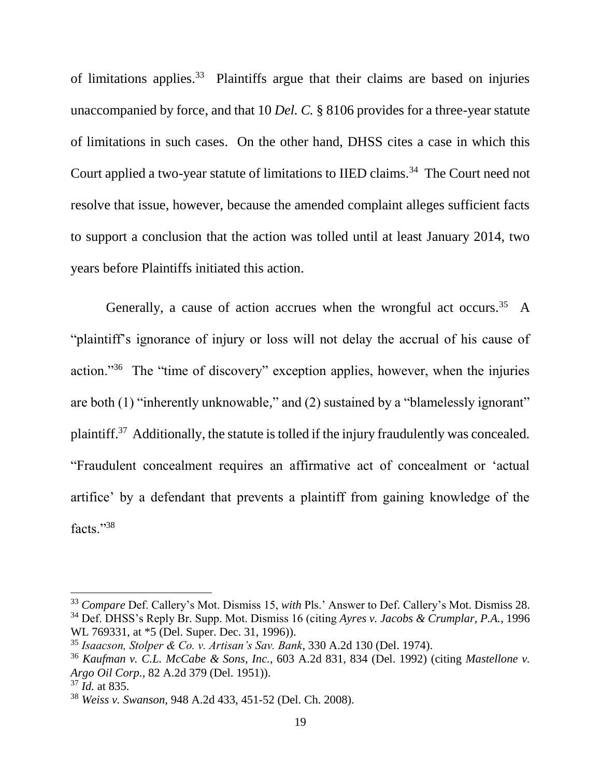of limitations applies. $33$  Plaintiffs argue that their claims are based on injuries unaccompanied by force, and that 10 *Del. C.* § 8106 provides for a three-year statute of limitations in such cases. On the other hand, DHSS cites a case in which this Court applied a two-year statute of limitations to IIED claims.<sup>34</sup> The Court need not resolve that issue, however, because the amended complaint alleges sufficient facts to support a conclusion that the action was tolled until at least January 2014, two years before Plaintiffs initiated this action.

Generally, a cause of action accrues when the wrongful act occurs.<sup>35</sup> A "plaintiff's ignorance of injury or loss will not delay the accrual of his cause of action."<sup>36</sup> The "time of discovery" exception applies, however, when the injuries are both (1) "inherently unknowable," and (2) sustained by a "blamelessly ignorant" plaintiff.<sup>37</sup> Additionally, the statute is tolled if the injury fraudulently was concealed. "Fraudulent concealment requires an affirmative act of concealment or 'actual artifice' by a defendant that prevents a plaintiff from gaining knowledge of the facts."<sup>38</sup>

 $\overline{a}$ 

<sup>33</sup> *Compare* Def. Callery's Mot. Dismiss 15, *with* Pls.' Answer to Def. Callery's Mot. Dismiss 28. <sup>34</sup> Def. DHSS's Reply Br. Supp. Mot. Dismiss 16 (citing *Ayres v. Jacobs & Crumplar, P.A.*, 1996 WL 769331, at \*5 (Del. Super. Dec. 31, 1996)).

<sup>35</sup> *Isaacson, Stolper & Co. v. Artisan's Sav. Bank*, 330 A.2d 130 (Del. 1974).

<sup>36</sup> *Kaufman v. C.L. McCabe & Sons, Inc.*, 603 A.2d 831, 834 (Del. 1992) (citing *Mastellone v. Argo Oil Corp.*, 82 A.2d 379 (Del. 1951)).

<sup>37</sup> *Id.* at 835.

<sup>38</sup> *Weiss v. Swanson*, 948 A.2d 433, 451-52 (Del. Ch. 2008).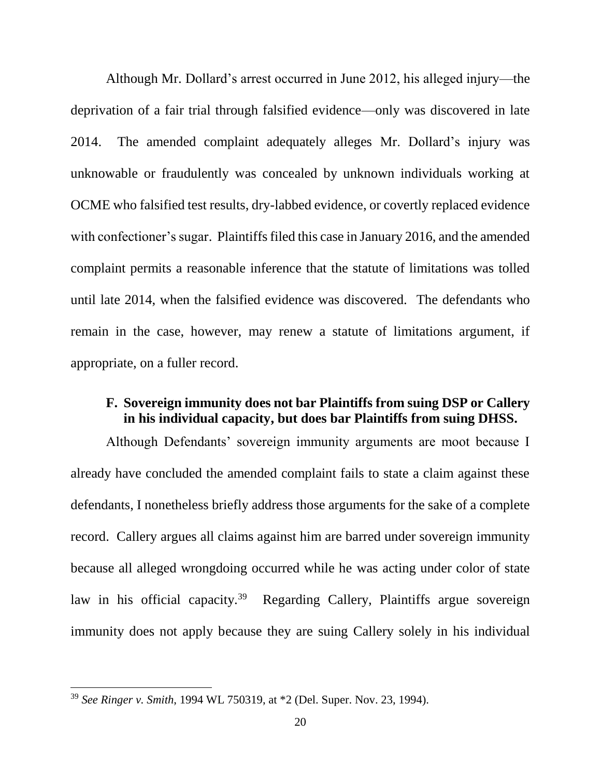Although Mr. Dollard's arrest occurred in June 2012, his alleged injury—the deprivation of a fair trial through falsified evidence—only was discovered in late 2014. The amended complaint adequately alleges Mr. Dollard's injury was unknowable or fraudulently was concealed by unknown individuals working at OCME who falsified test results, dry-labbed evidence, or covertly replaced evidence with confectioner's sugar. Plaintiffs filed this case in January 2016, and the amended complaint permits a reasonable inference that the statute of limitations was tolled until late 2014, when the falsified evidence was discovered. The defendants who remain in the case, however, may renew a statute of limitations argument, if appropriate, on a fuller record.

#### **F. Sovereign immunity does not bar Plaintiffs from suing DSP or Callery in his individual capacity, but does bar Plaintiffs from suing DHSS.**

Although Defendants' sovereign immunity arguments are moot because I already have concluded the amended complaint fails to state a claim against these defendants, I nonetheless briefly address those arguments for the sake of a complete record. Callery argues all claims against him are barred under sovereign immunity because all alleged wrongdoing occurred while he was acting under color of state law in his official capacity.<sup>39</sup> Regarding Callery, Plaintiffs argue sovereign immunity does not apply because they are suing Callery solely in his individual

<sup>39</sup> *See Ringer v. Smith*, 1994 WL 750319, at \*2 (Del. Super. Nov. 23, 1994).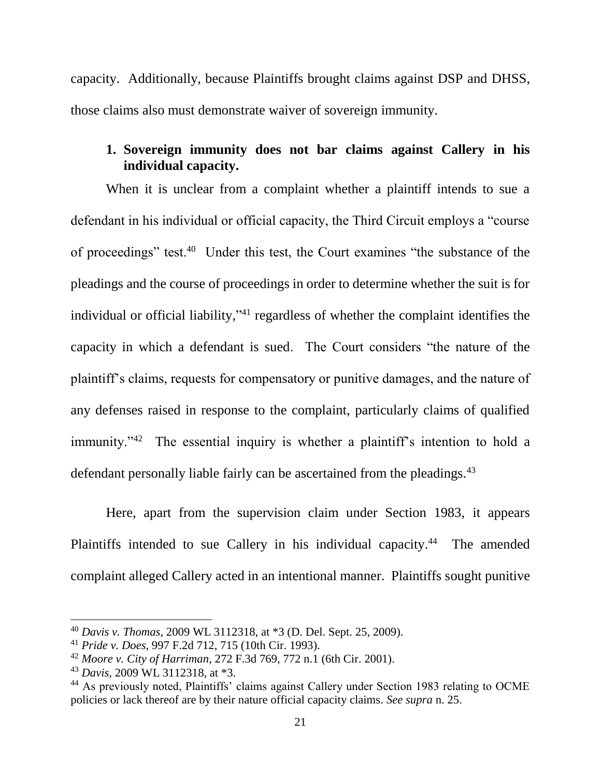capacity. Additionally, because Plaintiffs brought claims against DSP and DHSS, those claims also must demonstrate waiver of sovereign immunity.

# **1. Sovereign immunity does not bar claims against Callery in his individual capacity.**

When it is unclear from a complaint whether a plaintiff intends to sue a defendant in his individual or official capacity, the Third Circuit employs a "course of proceedings" test.<sup>40</sup> Under this test, the Court examines "the substance of the pleadings and the course of proceedings in order to determine whether the suit is for individual or official liability,"<sup>41</sup> regardless of whether the complaint identifies the capacity in which a defendant is sued. The Court considers "the nature of the plaintiff's claims, requests for compensatory or punitive damages, and the nature of any defenses raised in response to the complaint, particularly claims of qualified immunity."<sup>42</sup> The essential inquiry is whether a plaintiff's intention to hold a defendant personally liable fairly can be ascertained from the pleadings.<sup>43</sup>

Here, apart from the supervision claim under Section 1983, it appears Plaintiffs intended to sue Callery in his individual capacity.<sup>44</sup> The amended complaint alleged Callery acted in an intentional manner. Plaintiffs sought punitive

<sup>40</sup> *Davis v. Thomas*, 2009 WL 3112318, at \*3 (D. Del. Sept. 25, 2009).

<sup>41</sup> *Pride v. Does*, 997 F.2d 712, 715 (10th Cir. 1993).

<sup>42</sup> *Moore v. City of Harriman*, 272 F.3d 769, 772 n.1 (6th Cir. 2001).

<sup>43</sup> *Davis*, 2009 WL 3112318, at \*3.

<sup>&</sup>lt;sup>44</sup> As previously noted, Plaintiffs' claims against Callery under Section 1983 relating to OCME policies or lack thereof are by their nature official capacity claims. *See supra* n. 25.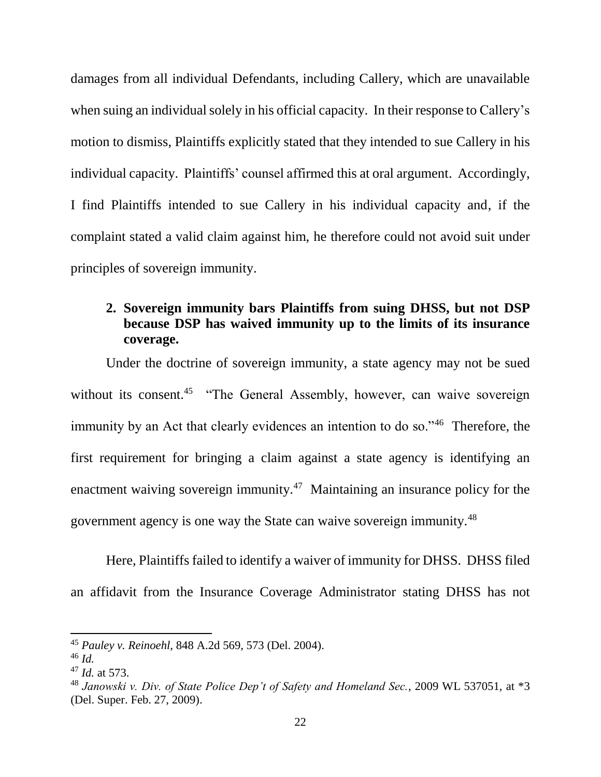damages from all individual Defendants, including Callery, which are unavailable when suing an individual solely in his official capacity. In their response to Callery's motion to dismiss, Plaintiffs explicitly stated that they intended to sue Callery in his individual capacity. Plaintiffs' counsel affirmed this at oral argument. Accordingly, I find Plaintiffs intended to sue Callery in his individual capacity and, if the complaint stated a valid claim against him, he therefore could not avoid suit under principles of sovereign immunity.

### **2. Sovereign immunity bars Plaintiffs from suing DHSS, but not DSP because DSP has waived immunity up to the limits of its insurance coverage.**

Under the doctrine of sovereign immunity, a state agency may not be sued without its consent.<sup>45</sup> "The General Assembly, however, can waive sovereign immunity by an Act that clearly evidences an intention to do so."<sup>46</sup> Therefore, the first requirement for bringing a claim against a state agency is identifying an enactment waiving sovereign immunity.<sup>47</sup> Maintaining an insurance policy for the government agency is one way the State can waive sovereign immunity.<sup>48</sup>

Here, Plaintiffs failed to identify a waiver of immunity for DHSS. DHSS filed an affidavit from the Insurance Coverage Administrator stating DHSS has not

<sup>45</sup> *Pauley v. Reinoehl*, 848 A.2d 569, 573 (Del. 2004).

<sup>46</sup> *Id.*

<sup>47</sup> *Id.* at 573.

<sup>48</sup> *Janowski v. Div. of State Police Dep't of Safety and Homeland Sec.*, 2009 WL 537051, at \*3 (Del. Super. Feb. 27, 2009).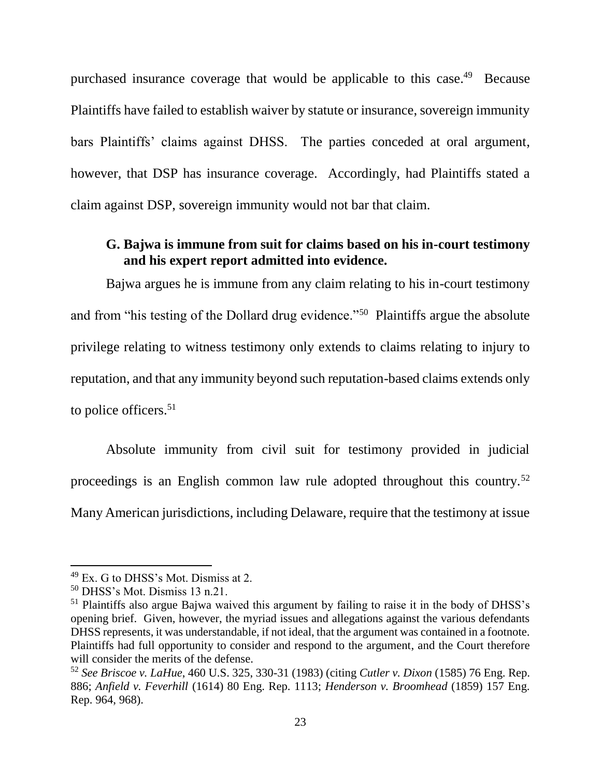purchased insurance coverage that would be applicable to this case.<sup>49</sup> Because Plaintiffs have failed to establish waiver by statute or insurance, sovereign immunity bars Plaintiffs' claims against DHSS. The parties conceded at oral argument, however, that DSP has insurance coverage. Accordingly, had Plaintiffs stated a claim against DSP, sovereign immunity would not bar that claim.

#### **G. Bajwa is immune from suit for claims based on his in-court testimony and his expert report admitted into evidence.**

Bajwa argues he is immune from any claim relating to his in-court testimony and from "his testing of the Dollard drug evidence."<sup>50</sup> Plaintiffs argue the absolute privilege relating to witness testimony only extends to claims relating to injury to reputation, and that any immunity beyond such reputation-based claims extends only to police officers.<sup>51</sup>

Absolute immunity from civil suit for testimony provided in judicial proceedings is an English common law rule adopted throughout this country.<sup>52</sup> Many American jurisdictions, including Delaware, require that the testimony at issue

<sup>49</sup> Ex. G to DHSS's Mot. Dismiss at 2.

<sup>50</sup> DHSS's Mot. Dismiss 13 n.21.

<sup>&</sup>lt;sup>51</sup> Plaintiffs also argue Bajwa waived this argument by failing to raise it in the body of DHSS's opening brief. Given, however, the myriad issues and allegations against the various defendants DHSS represents, it was understandable, if not ideal, that the argument was contained in a footnote. Plaintiffs had full opportunity to consider and respond to the argument, and the Court therefore will consider the merits of the defense.

<sup>52</sup> *See Briscoe v. LaHue*, 460 U.S. 325, 330-31 (1983) (citing *Cutler v. Dixon* (1585) 76 Eng. Rep. 886; *Anfield v. Feverhill* (1614) 80 Eng. Rep. 1113; *Henderson v. Broomhead* (1859) 157 Eng. Rep. 964, 968).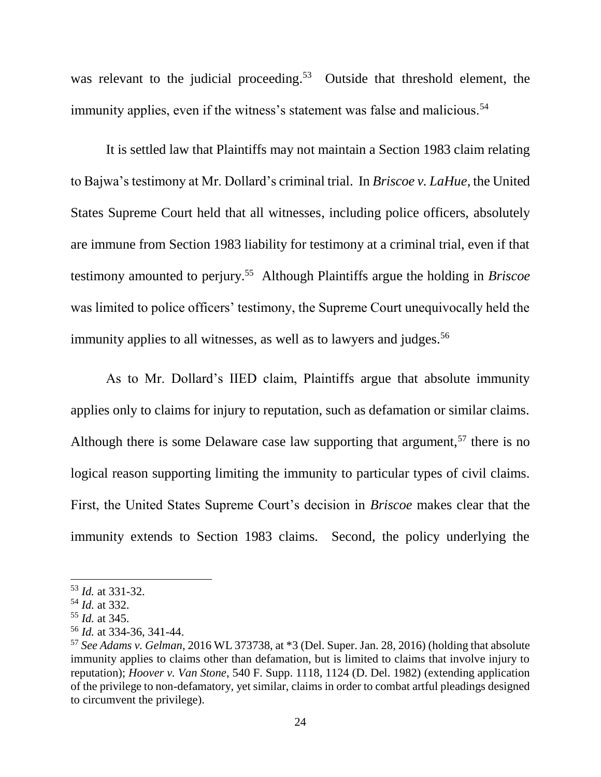was relevant to the judicial proceeding.<sup>53</sup> Outside that threshold element, the immunity applies, even if the witness's statement was false and malicious.<sup>54</sup>

It is settled law that Plaintiffs may not maintain a Section 1983 claim relating to Bajwa's testimony at Mr. Dollard's criminal trial. In *Briscoe v. LaHue*, the United States Supreme Court held that all witnesses, including police officers, absolutely are immune from Section 1983 liability for testimony at a criminal trial, even if that testimony amounted to perjury.<sup>55</sup> Although Plaintiffs argue the holding in *Briscoe* was limited to police officers' testimony, the Supreme Court unequivocally held the immunity applies to all witnesses, as well as to lawyers and judges.<sup>56</sup>

As to Mr. Dollard's IIED claim, Plaintiffs argue that absolute immunity applies only to claims for injury to reputation, such as defamation or similar claims. Although there is some Delaware case law supporting that argument,  $57$  there is no logical reason supporting limiting the immunity to particular types of civil claims. First, the United States Supreme Court's decision in *Briscoe* makes clear that the immunity extends to Section 1983 claims. Second, the policy underlying the

l

<sup>53</sup> *Id.* at 331-32.

<sup>54</sup> *Id.* at 332.

<sup>55</sup> *Id.* at 345.

<sup>56</sup> *Id.* at 334-36, 341-44.

<sup>57</sup> *See Adams v. Gelman*, 2016 WL 373738, at \*3 (Del. Super. Jan. 28, 2016) (holding that absolute immunity applies to claims other than defamation, but is limited to claims that involve injury to reputation); *Hoover v. Van Stone*, 540 F. Supp. 1118, 1124 (D. Del. 1982) (extending application of the privilege to non-defamatory, yet similar, claims in order to combat artful pleadings designed to circumvent the privilege).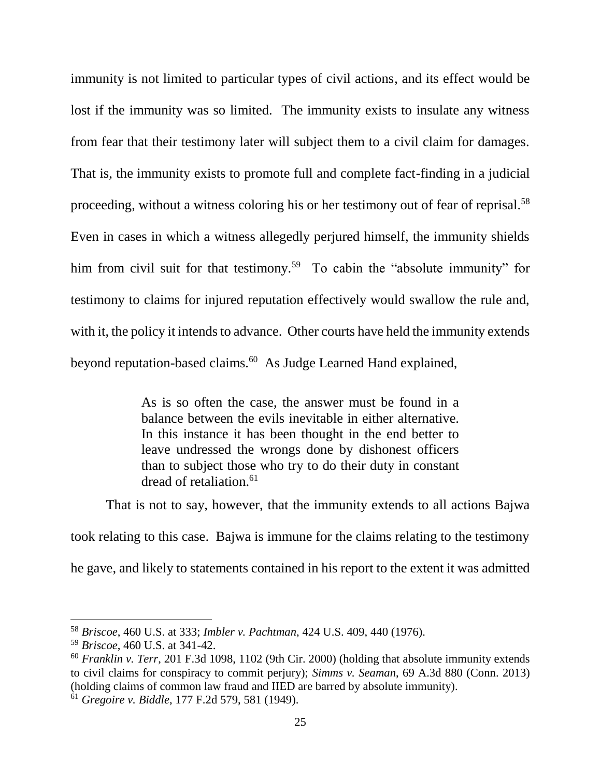immunity is not limited to particular types of civil actions, and its effect would be lost if the immunity was so limited. The immunity exists to insulate any witness from fear that their testimony later will subject them to a civil claim for damages. That is, the immunity exists to promote full and complete fact-finding in a judicial proceeding, without a witness coloring his or her testimony out of fear of reprisal.<sup>58</sup> Even in cases in which a witness allegedly perjured himself, the immunity shields him from civil suit for that testimony.<sup>59</sup> To cabin the "absolute immunity" for testimony to claims for injured reputation effectively would swallow the rule and, with it, the policy it intends to advance. Other courts have held the immunity extends beyond reputation-based claims.<sup>60</sup> As Judge Learned Hand explained,

> As is so often the case, the answer must be found in a balance between the evils inevitable in either alternative. In this instance it has been thought in the end better to leave undressed the wrongs done by dishonest officers than to subject those who try to do their duty in constant dread of retaliation. $61$

That is not to say, however, that the immunity extends to all actions Bajwa

took relating to this case. Bajwa is immune for the claims relating to the testimony he gave, and likely to statements contained in his report to the extent it was admitted

<sup>58</sup> *Briscoe*, 460 U.S. at 333; *Imbler v. Pachtman*, 424 U.S. 409, 440 (1976).

<sup>59</sup> *Briscoe*, 460 U.S. at 341-42.

<sup>60</sup> *Franklin v. Terr*, 201 F.3d 1098, 1102 (9th Cir. 2000) (holding that absolute immunity extends to civil claims for conspiracy to commit perjury); *Simms v. Seaman*, 69 A.3d 880 (Conn. 2013) (holding claims of common law fraud and IIED are barred by absolute immunity).

<sup>61</sup> *Gregoire v. Biddle*, 177 F.2d 579, 581 (1949).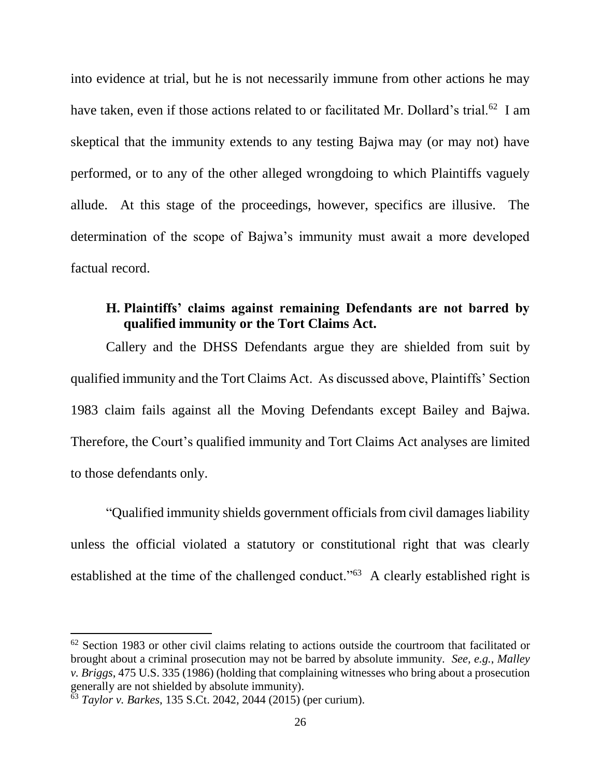into evidence at trial, but he is not necessarily immune from other actions he may have taken, even if those actions related to or facilitated Mr. Dollard's trial.<sup>62</sup> I am skeptical that the immunity extends to any testing Bajwa may (or may not) have performed, or to any of the other alleged wrongdoing to which Plaintiffs vaguely allude. At this stage of the proceedings, however, specifics are illusive. The determination of the scope of Bajwa's immunity must await a more developed factual record.

#### **H. Plaintiffs' claims against remaining Defendants are not barred by qualified immunity or the Tort Claims Act.**

Callery and the DHSS Defendants argue they are shielded from suit by qualified immunity and the Tort Claims Act. As discussed above, Plaintiffs' Section 1983 claim fails against all the Moving Defendants except Bailey and Bajwa. Therefore, the Court's qualified immunity and Tort Claims Act analyses are limited to those defendants only.

"Qualified immunity shields government officials from civil damages liability unless the official violated a statutory or constitutional right that was clearly established at the time of the challenged conduct."<sup>63</sup> A clearly established right is

 $62$  Section 1983 or other civil claims relating to actions outside the courtroom that facilitated or brought about a criminal prosecution may not be barred by absolute immunity. *See, e.g.*, *Malley v. Briggs*, 475 U.S. 335 (1986) (holding that complaining witnesses who bring about a prosecution generally are not shielded by absolute immunity).

<sup>63</sup> *Taylor v. Barkes*, 135 S.Ct. 2042, 2044 (2015) (per curium).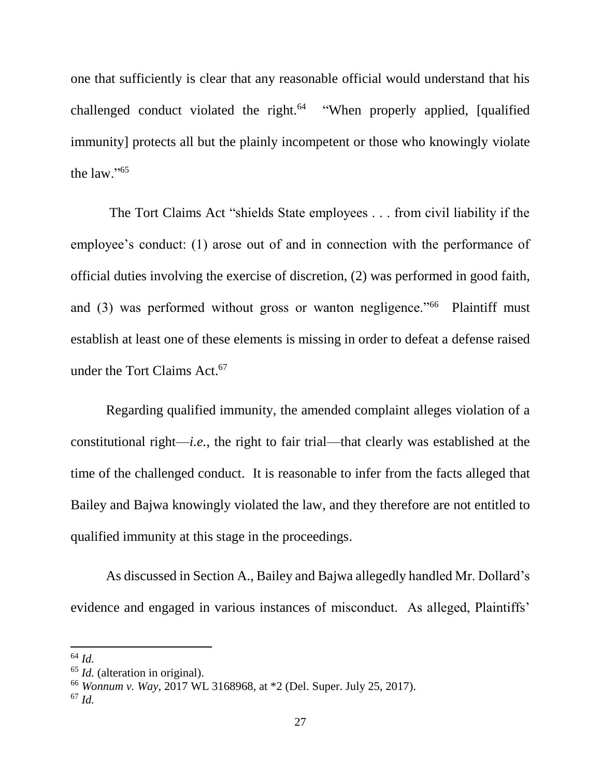one that sufficiently is clear that any reasonable official would understand that his challenged conduct violated the right.<sup>64</sup> "When properly applied, [qualified immunity] protects all but the plainly incompetent or those who knowingly violate the law."<sup>65</sup>

The Tort Claims Act "shields State employees . . . from civil liability if the employee's conduct: (1) arose out of and in connection with the performance of official duties involving the exercise of discretion, (2) was performed in good faith, and (3) was performed without gross or wanton negligence."<sup>66</sup> Plaintiff must establish at least one of these elements is missing in order to defeat a defense raised under the Tort Claims Act. 67

Regarding qualified immunity, the amended complaint alleges violation of a constitutional right—*i.e.*, the right to fair trial—that clearly was established at the time of the challenged conduct. It is reasonable to infer from the facts alleged that Bailey and Bajwa knowingly violated the law, and they therefore are not entitled to qualified immunity at this stage in the proceedings.

As discussed in Section A., Bailey and Bajwa allegedly handled Mr. Dollard's evidence and engaged in various instances of misconduct. As alleged, Plaintiffs'

l

<sup>64</sup> *Id.*

<sup>&</sup>lt;sup>65</sup> *Id.* (alteration in original).

<sup>66</sup> *Wonnum v. Way*, 2017 WL 3168968, at \*2 (Del. Super. July 25, 2017).

<sup>67</sup> *Id.*